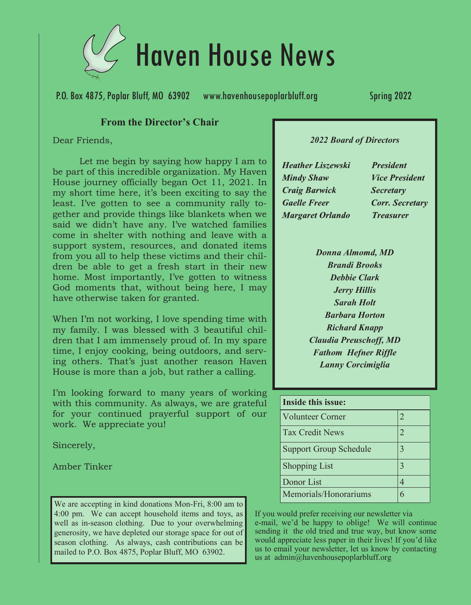

P.O. Box 4875, Poplar Bluff, MO 63902 www.havenhousepoplarbluff.org Spring 2022

#### **From the Director's Chair**

Dear Friends,

Let me begin by saying how happy I am to be part of this incredible organization. My Haven House journey officially began Oct 11, 2021. In my short time here, it's been exciting to say the least. I've gotten to see a community rally together and provide things like blankets when we said we didn't have any. I've watched families come in shelter with nothing and leave with a support system, resources, and donated items from you all to help these victims and their children be able to get a fresh start in their new home. Most importantly, I've gotten to witness God moments that, without being here, I may have otherwise taken for granted.

When I'm not working, I love spending time with my family. I was blessed with 3 beautiful children that I am immensely proud of. In my spare time, I enjoy cooking, being outdoors, and serving others. That's just another reason Haven House is more than a job, but rather a calling.

I'm looking forward to many years of working with this community. As always, we are grateful for your continued prayerful support of our work. We appreciate you!

Sincerely,

Amber Tinker

We are accepting in kind donations Mon-Fri, 8:00 am to 4:00 pm. We can accept household items and toys, as well as in-season clothing. Due to your overwhelming generosity, we have depleted our storage space for out of season clothing. As always, cash contributions can be mailed to P.O. Box 4875, Poplar Bluff, MO 63902.

#### *2022 Board of Directors*

**Heather Liszewski Mindy Shaw Craig Barwick Gaelle Freer Margaret Orlando** 

**President Vice President Secretary Corr. Secretary Treasurer** 

*Donna Almomd, MD Brandi Brooks Debbie Clark Jerry Hillis Sarah Holt Barbara Horton Richard Knapp Claudia Preuschoff, MD Fathom Hefner Riffle Lanny Corcimiglia*

| Inside this issue:            |                          |
|-------------------------------|--------------------------|
| <b>Volunteer Corner</b>       | 2                        |
| <b>Tax Credit News</b>        | $\mathfrak{D}_{1}^{(1)}$ |
| <b>Support Group Schedule</b> | 3                        |
| <b>Shopping List</b>          | $\mathcal{R}$            |
| Donor List                    |                          |
| Memorials/Honorariums         |                          |

If you would prefer receiving our newsletter via e-mail, we'd be happy to oblige! We will continue sending it the old tried and true way, but know some would appreciate less paper in their lives! If you'd like us to email your newsletter, let us know by contacting us at admin@havenhousepoplarbluff.org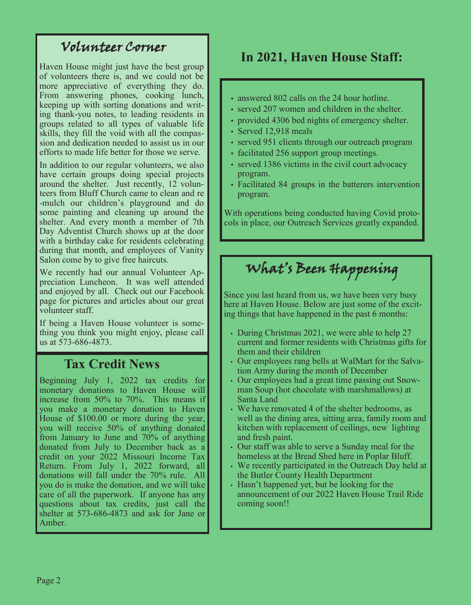### Volunteer Corner

Haven House might just have the best group of volunteers there is, and we could not be more appreciative of everything they do. From answering phones, cooking lunch, keeping up with sorting donations and writing thank-you notes, to leading residents in groups related to all types of valuable life skills, they fill the void with all the compassion and dedication needed to assist us in our efforts to made life better for those we serve.

In addition to our regular volunteers, we also have certain groups doing special projects around the shelter. Just recently, 12 volunteers from Bluff Church came to clean and re -mulch our children's playground and do some painting and cleaning up around the shelter. And every month a member of 7th Day Adventist Church shows up at the door with a birthday cake for residents celebrating during that month, and employees of Vanity Salon come by to give free haircuts.

We recently had our annual Volunteer Appreciation Luncheon. It was well attended and enjoyed by all. Check out our Facebook page for pictures and articles about our great volunteer staff.

If being a Haven House volunteer is something you think you might enjoy, please call us at 573-686-4873.

### **Tax Credit News**

Beginning July 1, 2022 tax credits for monetary donations to Haven House will increase from 50% to 70%. This means if you make a monetary donation to Haven House of \$100.00 or more during the year, you will receive 50% of anything donated from January to June and 70% of anything donated from July to December back as a credit on your 2022 Missouri Income Tax Return. From July 1, 2022 forward, all donations will fall under the 70% rule. All you do is make the donation, and we will take care of all the paperwork. If anyone has any questions about tax credits, just call the shelter at 573-686-4873 and ask for Jane or Amber.

### **In 2021, Haven House Staff:**

- answered 802 calls on the 24 hour hotline.
- served 207 women and children in the shelter.
- provided 4306 bed nights of emergency shelter.
- Served 12,918 meals
- served 951 clients through our outreach program
- facilitated 256 support group meetings.
- served 1386 victims in the civil court advocacy program.
- Facilitated 84 groups in the batterers intervention program.

With operations being conducted having Covid protocols in place, our Outreach Services greatly expanded.

# What's Been Happening

Since you last heard from us, we have been very busy here at Haven House. Below are just some of the exciting things that have happened in the past 6 months:

- During Christmas 2021, we were able to help 27 current and former residents with Christmas gifts for them and their children
- Our employees rang bells at WalMart for the Salvation Army during the month of December
- Our employees had a great time passing out Snowman Soup (hot chocolate with marshmallows) at Santa Land
- We have renovated 4 of the shelter bedrooms, as well as the dining area, sitting area, family room and kitchen with replacement of ceilings, new lighting and fresh paint.
- Our staff was able to serve a Sunday meal for the homeless at the Bread Shed here in Poplar Bluff.
- We recently participated in the Outreach Day held at the Butler County Health Department
- Hasn't happened yet, but be looking for the announcement of our 2022 Haven House Trail Ride coming soon!!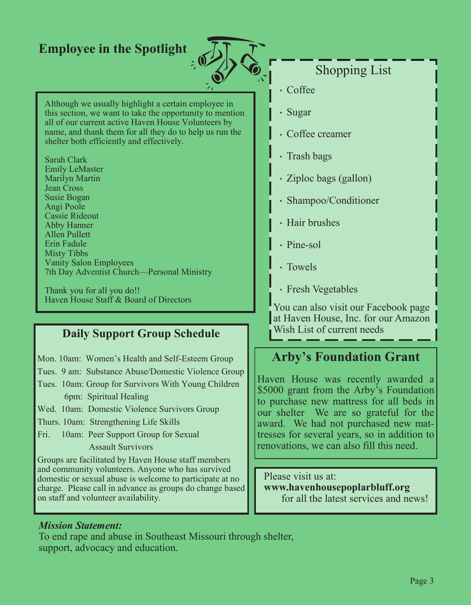# **Employee in the Spotlight**



## Shopping List

- Coffee
- Sugar
- Coffee creamer
- Trash bags
- Ziploc bags (gallon)
- Shampoo/Conditioner
- Hair brushes
- Pine-sol
- Towels
- Fresh Vegetables

You can also visit our Facebook page at Haven House, Inc. for our Amazon Wish List of current needs

### **Arby's Foundation Grant**

Haven House was recently awarded a \$5000 grant from the Arby's Foundation to purchase new mattress for all beds in our shelter We are so grateful for the award. We had not purchased new mattresses for several years, so in addition to renovations, we can also fill this need.

Please visit us at: **www.havenhousepoplarbluff.org** for all the latest services and news!

#### Although we usually highlight a certain employee in this section, we want to take the opportunity to mention all of our current active Haven House Volunteers by name, and thank them for all they do to help us run the shelter both efficiently and effectively.

Sarah Clark Emily LeMaster Marilyn Martin Jean Cross Susie Bogan Angi Poole Cassie Rideout Abby Hanner Allen Pullett Erin Fadule Misty Tibbs Vanity Salon Employees 7th Day Adventist Church—Personal Ministry

Thank you for all you do!! Haven House Staff & Board of Directors

### **Daily Support Group Schedule**

- Mon. 10am: Women's Health and Self-Esteem Group
- Tues. 9 am: Substance Abuse/Domestic Violence Group
- Tues. 10am: Group for Survivors With Young Children 6pm: Spiritual Healing
- Wed. 10am: Domestic Violence Survivors Group
- Thurs. 10am: Strengthening Life Skills
- Fri. 10am: Peer Support Group for Sexual Assault Survivors

Groups are facilitated by Haven House staff members and community volunteers. Anyone who has survived domestic or sexual abuse is welcome to participate at no charge. Please call in advance as groups do change based on staff and volunteer availability.

#### *Mission Statement:*

To end rape and abuse in Southeast Missouri through shelter, support, advocacy and education.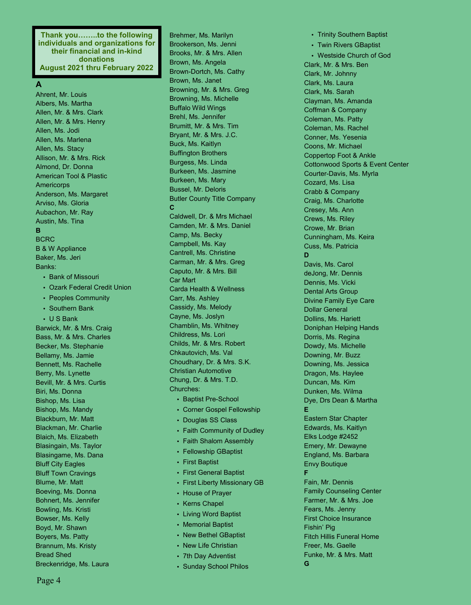**Thank you……..to the following individuals and organizations for their financial and in-kind donations August 2021 thru February 2022**

#### **A**

Ahrent, Mr. Louis Albers, Ms. Martha Allen, Mr. & Mrs. Clark Allen, Mr. & Mrs. Henry Allen, Ms. Jodi Allen, Ms. Marlena Allen, Ms. Stacy Allison, Mr. & Mrs. Rick Almond, Dr. Donna American Tool & Plastic **Americorps** Anderson, Ms. Margaret Arviso, Ms. Gloria Aubachon, Mr. Ray Austin, Ms. Tina **B** BCRC B & W Appliance Baker, Ms. Jeri Banks: • Bank of Missouri • Ozark Federal Credit Union

- Peoples Community
- Southern Bank
- U S Bank

Barwick, Mr. & Mrs. Craig Bass, Mr. & Mrs. Charles Becker, Ms. Stephanie Bellamy, Ms. Jamie Bennett, Ms. Rachelle Berry, Ms. Lynette Bevill, Mr. & Mrs. Curtis Biri, Ms. Donna Bishop, Ms. Lisa Bishop, Ms. Mandy Blackburn, Mr. Matt Blackman, Mr. Charlie Blaich, Ms. Elizabeth Blasingain, Ms. Taylor Blasingame, Ms. Dana Bluff City Eagles Bluff Town Cravings Blume, Mr. Matt Boeving, Ms. Donna Bohnert, Ms. Jennifer Bowling, Ms. Kristi Bowser, Ms. Kelly Boyd, Mr. Shawn Boyers, Ms. Patty Brannum, Ms. Kristy Bread Shed Breckenridge, Ms. Laura

Brehmer, Ms. Marilyn Brookerson, Ms. Jenni Brooks, Mr. & Mrs. Allen Brown, Ms. Angela Brown-Dortch, Ms. Cathy Brown, Ms. Janet Browning, Mr. & Mrs. Greg Browning, Ms. Michelle Buffalo Wild Wings Brehl, Ms. Jennifer Brumitt, Mr. & Mrs. Tim Bryant, Mr. & Mrs. J.C. Buck, Ms. Kaitlyn Buffington Brothers Burgess, Ms. Linda Burkeen, Ms. Jasmine Burkeen, Ms. Mary Bussel, Mr. Deloris Butler County Title Company **C** Caldwell, Dr. & Mrs Michael Camden, Mr. & Mrs. Daniel Camp, Ms. Becky Campbell, Ms. Kay Cantrell, Ms. Christine Carman, Mr. & Mrs. Greg Caputo, Mr. & Mrs. Bill Car Mart Carda Health & Wellness Carr, Ms. Ashley Cassidy, Ms. Melody Cayne, Ms. Joslyn Chamblin, Ms. Whitney Childress, Ms. Lori Childs, Mr. & Mrs. Robert Chkautovich, Ms. Val Choudhary, Dr. & Mrs. S.K. Christian Automotive Chung, Dr. & Mrs. T.D. Churches:

- Baptist Pre-School
- Corner Gospel Fellowship
- Douglas SS Class
- Faith Community of Dudley
- Faith Shalom Assembly
- Fellowship GBaptist
- First Baptist
- First General Baptist
- First Liberty Missionary GB
- House of Prayer
- Kerns Chapel
- Living Word Baptist
- Memorial Baptist
- New Bethel GBaptist
- New Life Christian
- 7th Day Adventist
- Sunday School Philos

• Trinity Southern Baptist • Twin Rivers GBaptist • Westside Church of God Clark, Mr. & Mrs. Ben Clark, Mr. Johnny Clark, Ms. Laura Clark, Ms. Sarah Clayman, Ms. Amanda Coffman & Company Coleman, Ms. Patty Coleman, Ms. Rachel Conner, Ms. Yesenia Coons, Mr. Michael Coppertop Foot & Ankle Cottonwood Sports & Event Center Courter-Davis, Ms. Myrla Cozard, Ms. Lisa Crabb & Company Craig, Ms. Charlotte Cresey, Ms. Ann Crews, Ms. Riley Crowe, Mr. Brian Cunningham, Ms. Keira Cuss, Ms. Patricia **D** Davis, Ms. Carol deJong, Mr. Dennis Dennis, Ms. Vicki Dental Arts Group Divine Family Eye Care Dollar General Dollins, Ms. Hariett Doniphan Helping Hands Dorris, Ms. Regina Dowdy, Ms. Michelle Downing, Mr. Buzz Downing, Ms. Jessica Dragon, Ms. Haylee Duncan, Ms. Kim Dunken, Ms. Wilma Dye, Drs Dean & Martha **E** Eastern Star Chapter Edwards, Ms. Kaitlyn Elks Lodge #2452 Emery, Mr. Dewayne England, Ms. Barbara Envy Boutique **F** Fain, Mr. Dennis Family Counseling Center Farmer, Mr. & Mrs. Joe Fears, Ms. Jenny First Choice Insurance Fishin' Pig Fitch Hillis Funeral Home Freer, Ms. Gaelle Funke, Mr. & Mrs. Matt **G**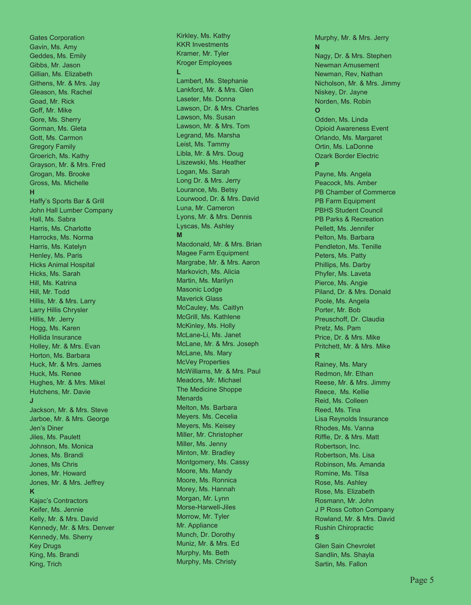**Gates Corporation** Gavin, Ms. Amy G e d des , M s. E mil y Gibbs, Mr. Jason Gillian, Ms. Elizabeth Githens, Mr. & Mrs. Jay Gleason, Ms. Rachel Goad, Mr. Rick Goff, Mr. Mike Gore, Ms. Sherry Gorman, Ms. Gleta Gott, Ms. Carmon Gregory Family Groerich, Ms. Kathy Grayson, Mr. & Mrs. Fred Grogan, Ms. Brooke Gross, Ms. Michelle **H** Haffy's Sports Bar & Grill Joh n H all L u mber C o m pan y Hall, Ms. Sabra Harris, Ms. Charlotte Harrocks, Ms. Norma Harris, Ms. Katelyn Henley, Ms. Paris Hicks Animal Hospital Hicks, Ms. Sarah Hill, Ms. Katrina Hill, Mr. Todd Hillis, Mr. & Mrs. Larry Larry Hillis Chrysler Hillis, Mr. Jerry Hogg, Ms. Karen Hollida Insurance Holley, Mr. & Mrs. Evan Horton, Ms. Barbara Huck, Mr. & Mrs. James Huck, Ms. Renee Hughes, Mr. & Mrs. Mikel Hutchens, Mr. Davie **J**Jackson, Mr. & Mrs. Steve Jarboe, Mr. & Mrs. George J e n ' s D ine r Jiles, Ms. Paulett Johnson, Ms. Monica Jones, Ms. Brandi Jones, Ms Chris Jones, Mr. Howard Jones, Mr. & Mrs. Jeffrey **K**Kajac's Contractors Keifer, Ms. Jennie Kelly, Mr. & Mrs. David Kennedy, Mr. & Mrs. Denver Kennedy, Ms. Sherry K e y Drug s King, Ms. Brandi King, Trich

Kirkley, Ms. Kathy KKR Investments Kramer, Mr. Tyler Kroger Employees **L** Lambert, Ms. Stephanie Lankford, Mr. & Mrs. Glen Laseter, Ms. Donna Lawson, Dr. & Mrs. Charles Lawson, Ms. Susan Lawson, Mr. & Mrs. Tom Legrand, Ms. Marsha Leist, Ms. Tammy Libla, Mr. & Mrs. Doug Liszewski, Ms. Heather Logan, Ms. Sarah Long Dr. & Mrs. Jerry Lourance, Ms. Betsy Lourwood, Dr. & Mrs. David Luna, Mr. Cameron Lyons, Mr. & Mrs. Dennis Lyscas, Ms. Ashley **M**Macdonald, Mr. & Mrs. Brian Magee Farm Equipment Margrabe, Mr. & Mrs. Aaron Markovich, Ms. Alicia Martin, Ms. Marilyn Masonic Lodge Maverick Glass McCauley, Ms. Caitlyn McGrill, Ms. Kathlene McKinley, Ms. Holly McLane-Li, Ms. Janet McLane, Mr. & Mrs. Joseph McLane, Ms. Mary McVey Properties McWilliams, Mr. & Mrs. Paul Meadors, Mr. Michael The Medicine Shoppe Menards Melton, Ms. Barbara Meyers. Ms. Cecelia Meyers, Ms. Keisey Miller, Mr. Christopher Miller, Ms. Jenny Minton, Mr. Bradley Montgomery, Ms. Cassy Moore, Ms. Mandy Moore, Ms. Ronnica Morey, Ms. Hannah Morgan, Mr. Lynn Morse-Harwell-Jiles Morrow, Mr. Tyler Mr. Appliance Munch, Dr. Dorothy Muniz, Mr. & Mrs. Ed Murphy, Ms. Beth Murphy, Ms. Christy

Murphy, Mr. & Mrs. Jerry **N**Nagy, Dr. & Mrs. Stephen Newman Amusement Newman, Rev, Nathan Nicholson, Mr. & Mrs. Jimmy Niskey, Dr. Jayne Norden, Ms. Robin **O**Odden, Ms. Linda Opioid Awareness Event Orlando, Ms. Margaret Ortin, Ms. LaDonne Ozark Border Electric **P**Payne, Ms. Angela Peacock, Ms. Amber PB Chamber of Commerce PB Farm Equipment PBHS Student Council PB Parks & Recreation Pellett, Ms. Jennifer Pelton, Ms. Barbara Pendleton, Ms. Tenille Peters, Ms. Patty Phillips, Ms. Darby Phyfer, Ms. Laveta Pierce, Ms. Angie Piland, Dr. & Mrs. Donald Poole, Ms. Angela Porter, Mr. Bob Preuschoff, Dr. Claudia Pretz, Ms. Pam Price, Dr. & Mrs. Mike Pritchett, Mr. & Mrs. Mike **R** Rainey, Ms. Mary Redmon, Mr. Ethan Reese, Mr. & Mrs. Jimmy Reece, Ms. Kellie Reid, Ms. Colleen Reed, Ms. Tina Lisa Reynolds Insurance Rhodes, Ms. Vanna Riffle, Dr. & Mrs. Matt Robertson, Inc. Robertson, Ms. Lisa Robinson, Ms. Amanda Romine, Ms. Tilsa Rose, Ms. Ashley Rose, Ms. Elizabeth Rosmann, Mr. John J P Ross Cotton Company Rowland, Mr. & Mrs. David Rushin Chiropractic **S**Glen Sain Chevrolet Sandlin, Ms. Shayla Sartin, Ms. Fallon